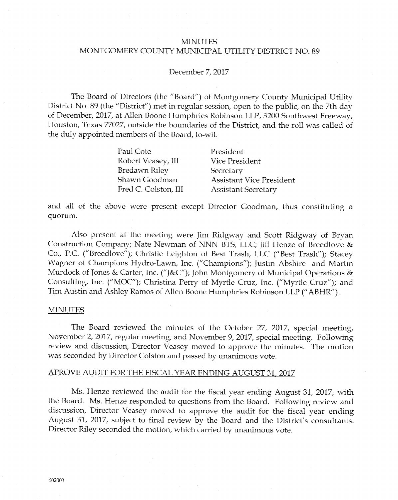### **MINUTES**

#### MONTGOMERY COUNTY MUNICIPAL UTILITY DISTRICT NO. 89

#### December 7, 2017

The Board of Directors (the "Board") of Montgomery County Municipal Utility District No. 89 (the "District") met in regular session, open to the public, on the 7th day of December, 2017, at Allen Boone Humphries Robinson LLP, 3200 Southwest Freeway, Houston, Texas 77027, outside the boundaries of the District, and the roll was called of the duly appointed members of the Board, to-wit:

| Paul Cote            | President                       |
|----------------------|---------------------------------|
| Robert Veasey, III   | <b>Vice President</b>           |
| <b>Bredawn Riley</b> | Secretary                       |
| Shawn Goodman        | <b>Assistant Vice President</b> |
| Fred C. Colston, III | <b>Assistant Secretary</b>      |

and all of the above were present except Director Goodman, thus constituting a quorum.

Also present at the meeting were Jim Ridgway and Scott Ridgway of Bryan Construction Company; Nate Newman of NNN BTS, LLC; Jill Henze of Breedlove & Co., P.C. ("Breedlove"); Christie Leighton of Best Trash, LLC ("Best Trash"); Stacey Wagner of Champions Hydro-Lawn, Inc. ("Champions"); Justin Abshire and Martin Murdock of Jones & Carter, Inc. ("J&C"); John Montgomery of Municipal Operations & Consulting, Inc. ("MOC"); Christina Perry of Myrtle Cruz, Inc. ("Myrtle Cruz"); and Tim Austin and Ashley Ramos of Allen Boone Humphries Robinson LLP ("ABHR").

#### **MINUTES**

The Board reviewed the minutes of the October 27, 2017, special meeting, November 2, 2017, regular meeting, and November 9, 2017, special meeting. Following review and discussion, Director Veasey moved to approve the minutes. The motion was seconded by Director Colston and passed by unanimous vote.

# APROVE AUDIT FOR THE FISCAL YEAR ENDING AUGUST 31, 2017

Ms. Henze reviewed the audit for the fiscal year ending August 31, 2017, with the Board. Ms. Henze responded to questions from the Board. Following review and discussion, Director Veasey moved to approve the audit for the fiscal year ending August 31, 2017, subject to final review by the Board and the District's consultants. Director Riley seconded the motion, which carried by unanimous vote.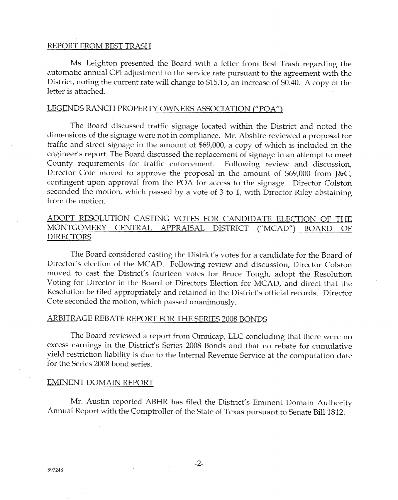### REPORT FROM BEST TRASH

Ms. Leighton presented the Board with a letter from Best Trash regarding the automatic annual CPI adjustment to the service rate pursuant to the agreement with the District, noting the current rate will change to \$15.15, an increase af \$0.40. A copy o{ the letter is attached.

### LEGENDS RANCH PROPERTY OWNERS ASSOCIATION ("POA")

The Board discussed traffic signage located within the District and noted the dimensions of the signage were not in compliance. Mr. Abshire reviewed a proposal for traffic and street signage in the amount of \$69,000, a copy of which is included in the engineer's report. The Board discussed the replacement of signage in an attempt to meet County requirements for traffic enforcement. Following review and discussion, Director Cote moved to approve the proposal in the amount of  $$69,000$  from  $\&C$ , contingent upon approval from the POA for access to the signage. Director Colston seconded the motion, which passed by a vote of 3 to 1, with Director Riley abstaining from the motion.

# ADOPT RESOLUTION CASTING VOTES FOR CANDIDATE ELECTION OF THE MONTGOMERY CENTRAL APPRAISAL DISTRICT ("MCAD") BOARD OF DIRECTORS

The Board considered casting the District's votes for a candidate for the Board of Director's election of the MCAD. Following review and discussion, Director Colston moved to cast the District's fourteen votes for Bruce Tough, adopt the Resolution Voting for Director in the Board of Directors Election for MCAD, and direct that the Resolution be fiied appropriately and retained in the District's official records. Director Cote seconded the motion, which passed unanimously.

#### ARBITRAGE REBATE REPORT FOR THE SERIES 2008 BONDS

The Board reviewed a report from Omnicap, LLC concluding that there were no excess earnings in the District's Series 2008 Bonds and that no rebate for cumulative yield restriction liability is due to the Internal Revenue Service at the computation date for the Series 2008 bond series.

### EMINENT DOMAIN REPORT

Mr. Austin reported ABHR has filed the District's Eminent Domain Authority Annual Report with the Comptroller of the State of Texas pursuant to Senate Bill 1812.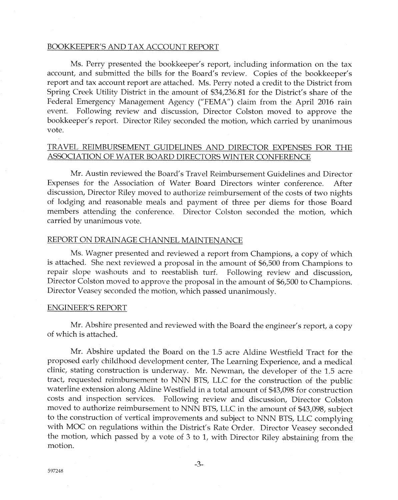### BOOKKEEPER'S AND TAX ACCOUNT REPORT

Ms. Perry presented the bookkeeper's report, including information on the tax account, and submitted the bills for the Board's review. Copies of the bookkeeper's report and tax account report are attached. Ms. Perry noted a credit to the District from Spring Creek Utility District in the amount of \$34,236.81 for the District's share of the Federal Emergency Management Agency ("FEMA") claim from the April 2016 rain event. Following review and discussion, Director Colston moved to approve the bookkeeper's report. Director Riley seconded the motion, which carried by unanimous vote.

## TRAVEL REIMBURSEMENT GUIDELINES AND DIRECTOR EXPENSES FOR THE ASSOCIATION OF WATER BOARD DIRECTORS WINTER CONFERENCE

Mr. Austin reviewed the Board's Travel Reimbursement Guidelines and Director Expenses for the Association of Water Board Directors winter conference. After discussion, Director Riley moved to authorize reimbursement of the costs of two nights of lodging and reasonable meals and payment of three per diems for those Board members attending the conference. Director Colston seconded the motion, which carried by unanimous vote.

### REPORT ON DRAINAGE CHANNEL MAINTENANCE

Ms. Wagner presented and reviewed a report from Champions, a copy of which is attached. She next reviewed a proposal in the amount of \$6,500 from Champions to repair slope washouts and to reestablish turf. Following review and discussion, Director Colston moved to approve the proposal in the amount of \$6,500 to Champions. Director Veasey seconded the motion, which passed unanimously.

#### **ENGINEER'S REPORT**

Mr. Abshire presented and reviewed with the Board the engineer's report, a copy of which is attached.

Mr. Abshire updated the Board on the 1.5 acre Aldine Westfield Tract for the proposed early childhood development center, The Learning Experience, and a medical clinic, stating construction is underway. Mr. Newman, the developer of the 1.5 acre tract, requested reimbursement to NNN BTS, LLC for the construction of the public waterline extension along Aldine Westfield in a total amount of \$43,098 for construction costs and inspection services. Following review and discussion, Director Colston moved to authorize reimbursement to NNN BTS, LLC in the amount of \$43,098, subject to the construction of vertical improvements and subject to NNN BTS, LLC complying with MOC on regulations within the District's Rate Order. Director Veasey seconded the motion, which passed by a vote of  $3$  to  $1$ , with Director Riley abstaining from the motion.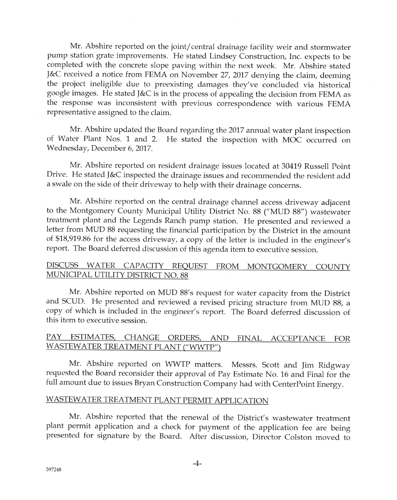Mr. Abshire reported on the joint/central drainage {acility weir and stormwater pump station grate improvements. He stated Lindsey Construction, Inc. expects to be completed with the concrete slope paving within the next week. Mr. Abshire stated J&C received a notice from FEMA on November 27, 2017 denying the claim, deeming the project ineligible due to preexisting damages they've concluded via historical google images. He stated J&C is in the process of appealing the decision from FEMA as the response was inconsistent with previous correspondence with various FEMA representative assigned to the claim.

Mr. Abshire updated the Board regarding the 2017 annual water plant inspection of Water Plant Nos. 1 and 2. He stated the inspection with MOC occurred on Wednesday, December 6, 2017.

Mr. Abshire reported on resident drainage issues loeated at 30419 Russell Point Drive. He stated ]&C inspected the drainage issues and reccmmended the resident add a swale on the side of their driveway to hetp with their drainage concerns.

Mr. Abshire reported on the central drainage channel access driveway adjacent to the Montgomery County Municipal Utility District No. 88 ("MUD 88") wastewater treatment plant and the Legends Ranch purnp station. He presented and reviewed <sup>a</sup> letter from MUD 88 requesting the financial participation by the District in the amount of \$18,919.86 for the access driveway, a copy of the letter is included in the engineer's report. The Board deferred discussion of this agenda item to executive session.

# DISCUSS WATER CAPACITY REQUEST FROM MONTGOMERY COUNTY MUNICIPAL UTILITY DISTRICT NO. 88

Mr. Abshire reported on MUD 88's request for water capacity from the District and SCUD. He presented and reviewed a revised pricing structure from MUD 88, a copy of which is included in the engineer's report. The Board deferred discussion of this itern to executive session.

#### PAY ESTIMATES, CHANGE ORDERS, AND FINAL ACCEPTANCE FOR WASTEWATER TREATMENT PLANT ("WWTP")

Mr. Abshire reported on WWTP matters. Messrs. Scott and Jim Ridgway requested the Board reconsider their approval of Pay Estimate No. 16 and Final for the full amount due to issues Bryan Construction Company had with CenterPoint Energy.

# WASTEWATER TREATMENT PLANT PERMIT APPLICATION

Mr. Abshire reported that the renewal of the District's wastewater treatment plant permit application and a check for payment of the application fee are being presented for signature by the Board. After discussion, Director Colston moved to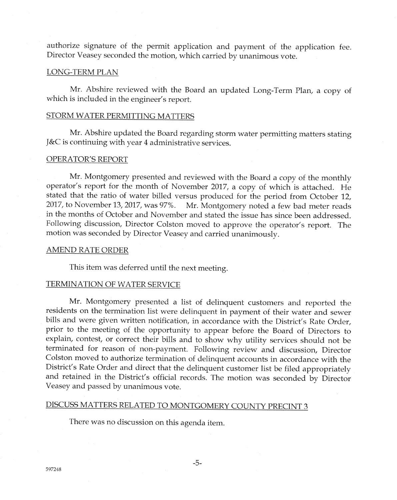authorize signature of the permit application and payment of the application fee. Director Veasey seconded the motion, which carried by unanimous vote.

#### LONG-TERM PLAN

Mr. Abshire reviewed with the Board an updated Long-Term Plan, a copy of which is included in the engineer's report.

### STORM WATER PERMITTING MATTERS

Mr. Abshire updated the Board regarding storm water permitting matters stating ]&C is continuing with year 4 administrative services.

#### OPERATOR'S REPORT

Mr. Montgomery presented and reviewed with the Board a copy of the monthly operator's report for the month of November 2017, a copy of which is attached. He stated that the ratio of water billed versus produced for the period from October 12,<br>2017, to November 13, 2017, was 97%. Mr. Montgomery noted a few bad meter reads Mr. Montgomery noted a few bad meter reads in the months of October and November and stated the issue has since been addressed. Following discussion, Director Colston moved to approve the operator's report. The motion was seconded by Director Veasey and carried unanimously.

#### **AMEND RATE ORDER**

This item was deferred until the next meeting.

## TERMINATION OF WATER SERVICE

Mr. Montgomery presented a list of delinquent customers and reported the residents on the termination list were delinquent in payment of their water and sewer bills and were given written notification, in accordance with the District's Rate Order, prior to the meeting of the opportunity to appear before the Board of Directors to explain, contest, or correct their bills and to show why utility services should not be terminated for reason of non-payment. Following review and discussion, Director Colston moved to authorize termination of delinquent accounts in accordance with the District's Rate Order and direct that the delinquent customer list be filed appropriately and retained in the District's official records. The motion was seconded by Director Yeasey and passed by unanimous vote.

# <u>DISCUSS MATTERS RELATED TO MONTGOMERY COUNTY PRECINT 3</u>

There was no discussion on this agenda item.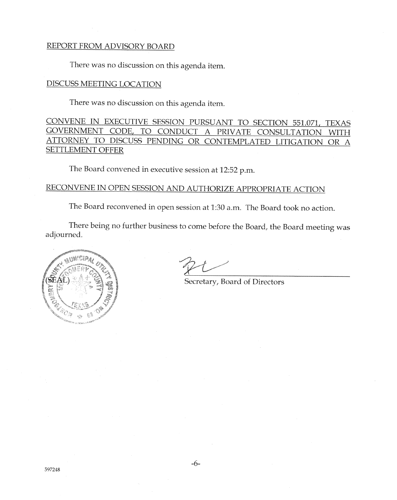# REPORT FROM ADVISORY BOARD

There was no discussion on this agenda item.

**DISCUSS MEETING LOCATION** 

There was no discussion on this agenda item.

CONVENE IN EXECUTIVE SESSION PURSUANT TO SECTION 551.071, TEXAS GOVERNMENT CODE, TO CONDUCT A PRIVATE CONSULTATION WITH ATTORNEY TO DISCUSS PENDING OR CONTEMPLATED LITIGATION OR A **SETTLEMENT OFFER** 

The Board convened in executive session at 12:52 p.m.

RECONVENE IN OPEN SESSION AND AUTHORIZE APPROPRIATE ACTION

The Board reconvened in open session at 1:30 a.m. The Board took no action.

There being no further business to come before the Board, the Board meeting was adjourned.



Secretary, Board of Directors